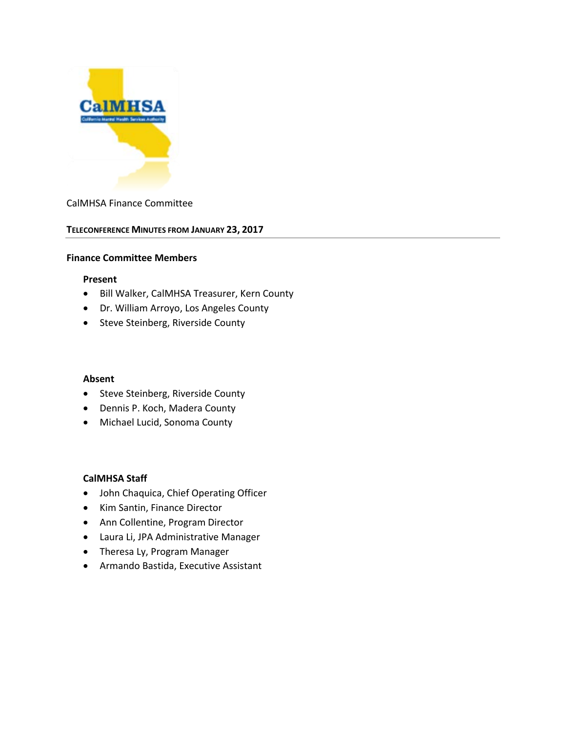

### CalMHSA Finance Committee

### **TELECONFERENCE MINUTES FROM JANUARY 23, 2017**

#### **Finance Committee Members**

#### **Present**

- Bill Walker, CalMHSA Treasurer, Kern County
- Dr. William Arroyo, Los Angeles County
- Steve Steinberg, Riverside County

#### **Absent**

- Steve Steinberg, Riverside County
- Dennis P. Koch, Madera County
- Michael Lucid, Sonoma County

### **CalMHSA Staff**

- John Chaquica, Chief Operating Officer
- Kim Santin, Finance Director
- Ann Collentine, Program Director
- Laura Li, JPA Administrative Manager
- Theresa Ly, Program Manager
- Armando Bastida, Executive Assistant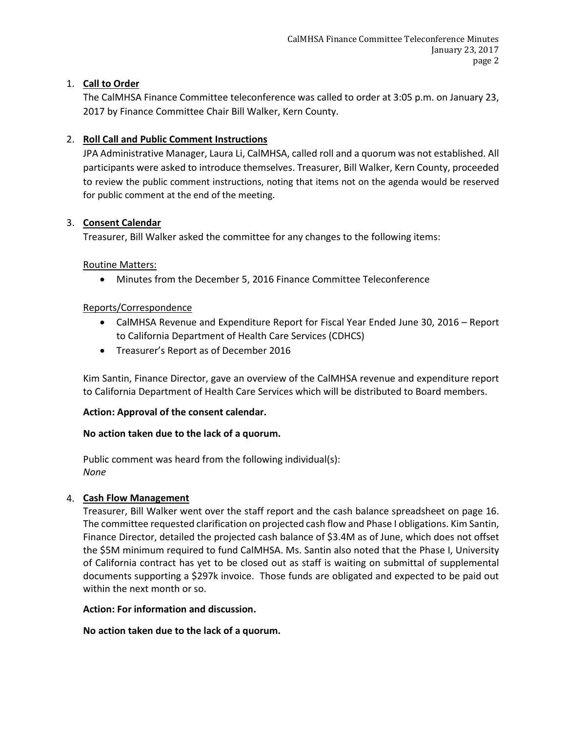# 1. **Call to Order**

The CalMHSA Finance Committee teleconference was called to order at 3:05 p.m. on January 23, 2017 by Finance Committee Chair Bill Walker, Kern County.

# 2. **Roll Call and Public Comment Instructions**

JPA Administrative Manager, Laura Li, CalMHSA, called roll and a quorum was not established. All participants were asked to introduce themselves. Treasurer, Bill Walker, Kern County, proceeded to review the public comment instructions, noting that items not on the agenda would be reserved for public comment at the end of the meeting.

### 3. **Consent Calendar**

Treasurer, Bill Walker asked the committee for any changes to the following items:

### Routine Matters:

• Minutes from the December 5, 2016 Finance Committee Teleconference

# Reports/Correspondence

- CalMHSA Revenue and Expenditure Report for Fiscal Year Ended June 30, 2016 Report to California Department of Health Care Services (CDHCS)
- Treasurer's Report as of December 2016

Kim Santin, Finance Director, gave an overview of the CalMHSA revenue and expenditure report to California Department of Health Care Services which will be distributed to Board members.

### **Action: Approval of the consent calendar.**

# **No action taken due to the lack of a quorum.**

Public comment was heard from the following individual(s): *None*

# 4. **Cash Flow Management**

Treasurer, Bill Walker went over the staff report and the cash balance spreadsheet on page 16. The committee requested clarification on projected cash flow and Phase I obligations. Kim Santin, Finance Director, detailed the projected cash balance of \$3.4M as of June, which does not offset the \$5M minimum required to fund CalMHSA. Ms. Santin also noted that the Phase I, University of California contract has yet to be closed out as staff is waiting on submittal of supplemental documents supporting a \$297k invoice. Those funds are obligated and expected to be paid out within the next month or so.

### **Action: For information and discussion.**

**No action taken due to the lack of a quorum.**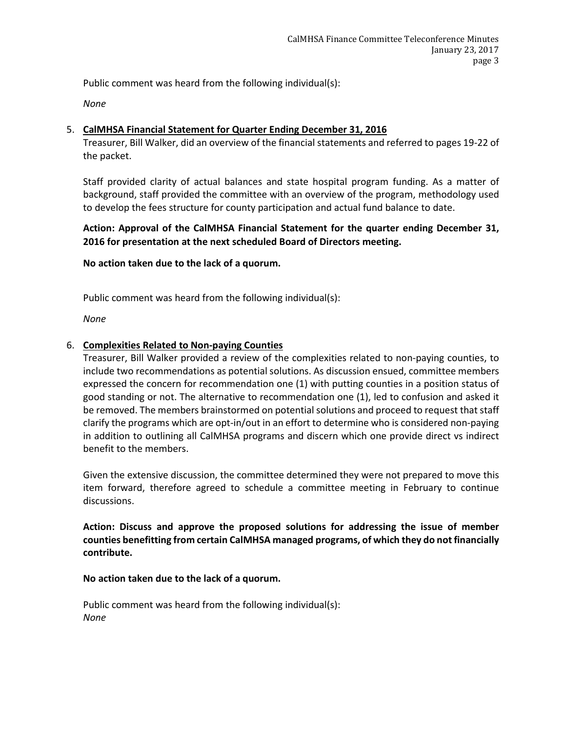Public comment was heard from the following individual(s):

*None*

## 5. **CalMHSA Financial Statement for Quarter Ending December 31, 2016**

Treasurer, Bill Walker, did an overview of the financial statements and referred to pages 19-22 of the packet.

Staff provided clarity of actual balances and state hospital program funding. As a matter of background, staff provided the committee with an overview of the program, methodology used to develop the fees structure for county participation and actual fund balance to date.

# **Action: Approval of the CalMHSA Financial Statement for the quarter ending December 31, 2016 for presentation at the next scheduled Board of Directors meeting.**

**No action taken due to the lack of a quorum.** 

Public comment was heard from the following individual(s):

*None*

### 6. **Complexities Related to Non-paying Counties**

Treasurer, Bill Walker provided a review of the complexities related to non-paying counties, to include two recommendations as potential solutions. As discussion ensued, committee members expressed the concern for recommendation one (1) with putting counties in a position status of good standing or not. The alternative to recommendation one (1), led to confusion and asked it be removed. The members brainstormed on potential solutions and proceed to request that staff clarify the programs which are opt-in/out in an effort to determine who is considered non-paying in addition to outlining all CalMHSA programs and discern which one provide direct vs indirect benefit to the members.

Given the extensive discussion, the committee determined they were not prepared to move this item forward, therefore agreed to schedule a committee meeting in February to continue discussions.

**Action: Discuss and approve the proposed solutions for addressing the issue of member counties benefitting from certain CalMHSA managed programs, of which they do not financially contribute.**

### **No action taken due to the lack of a quorum.**

Public comment was heard from the following individual(s): *None*